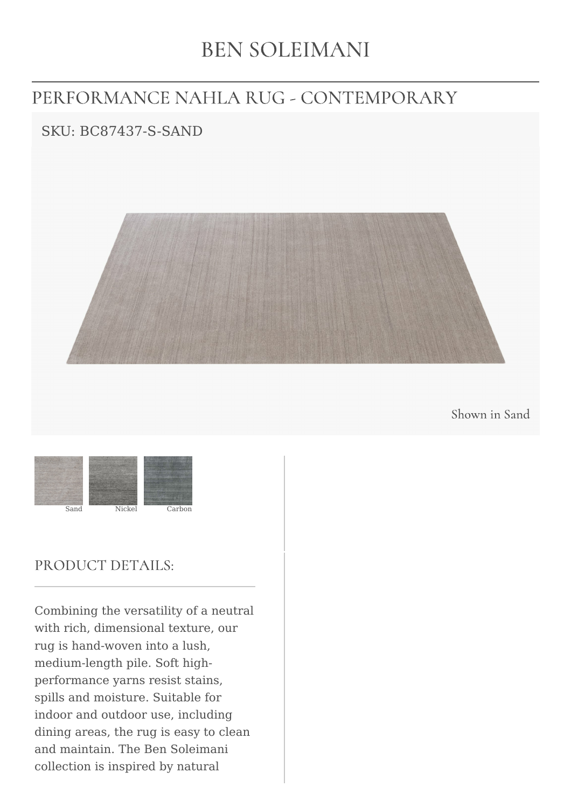# **BEN SOLEIMANI**

## PERFORMANCE NAHLA RUG - CONTEMPORARY

### SKU: BC87437-S-SAND



Shown in Sand



#### PRODUCT DETAILS:

Combining the versatility of a neutral with rich, dimensional texture, our rug is hand-woven into a lush, medium-length pile. Soft highperformance yarns resist stains, spills and moisture. Suitable for indoor and outdoor use, including dining areas, the rug is easy to clean and maintain. The Ben Soleimani collection is inspired by natural